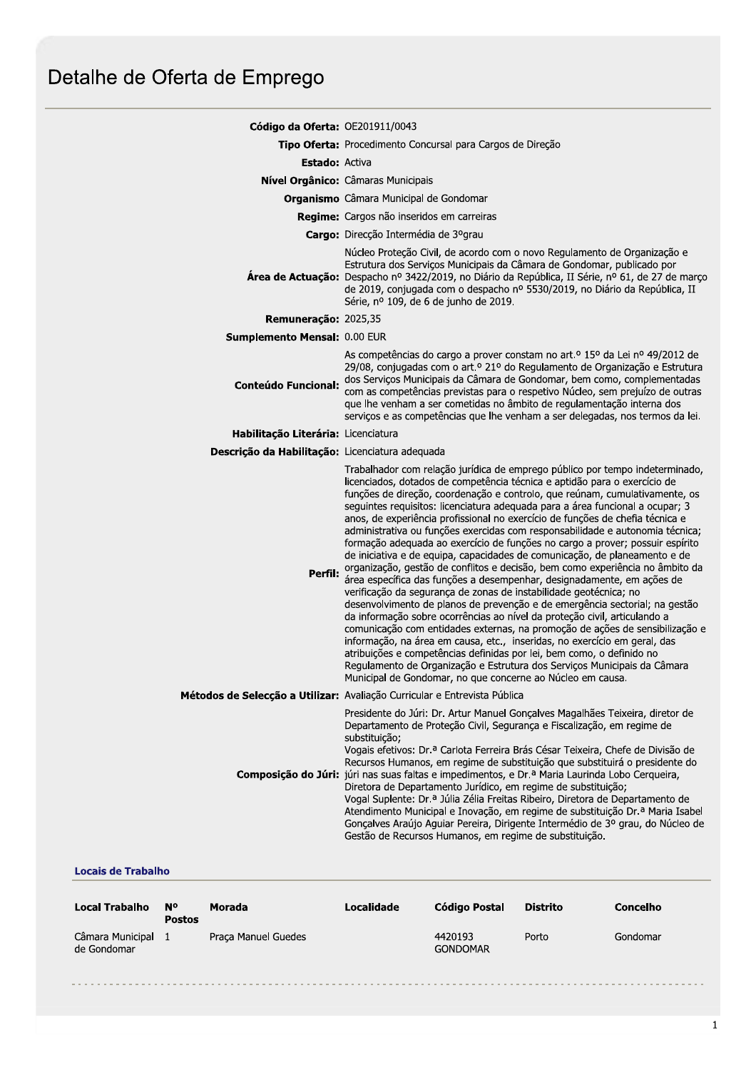| Código da Oferta: OE201911/0043                 |                                                                                                                                                                                                                                                                                                                                                                                                                                                                                                                                                                                                                                                                                                                                                                                                                                                                                                                                                                                                                                                                                                                                                                                                                                                                                                                                                                                                                                        |  |  |  |  |
|-------------------------------------------------|----------------------------------------------------------------------------------------------------------------------------------------------------------------------------------------------------------------------------------------------------------------------------------------------------------------------------------------------------------------------------------------------------------------------------------------------------------------------------------------------------------------------------------------------------------------------------------------------------------------------------------------------------------------------------------------------------------------------------------------------------------------------------------------------------------------------------------------------------------------------------------------------------------------------------------------------------------------------------------------------------------------------------------------------------------------------------------------------------------------------------------------------------------------------------------------------------------------------------------------------------------------------------------------------------------------------------------------------------------------------------------------------------------------------------------------|--|--|--|--|
|                                                 | Tipo Oferta: Procedimento Concursal para Cargos de Direção                                                                                                                                                                                                                                                                                                                                                                                                                                                                                                                                                                                                                                                                                                                                                                                                                                                                                                                                                                                                                                                                                                                                                                                                                                                                                                                                                                             |  |  |  |  |
| <b>Estado: Activa</b>                           |                                                                                                                                                                                                                                                                                                                                                                                                                                                                                                                                                                                                                                                                                                                                                                                                                                                                                                                                                                                                                                                                                                                                                                                                                                                                                                                                                                                                                                        |  |  |  |  |
|                                                 | Nível Orgânico: Câmaras Municipais                                                                                                                                                                                                                                                                                                                                                                                                                                                                                                                                                                                                                                                                                                                                                                                                                                                                                                                                                                                                                                                                                                                                                                                                                                                                                                                                                                                                     |  |  |  |  |
|                                                 | <b>Organismo</b> Câmara Municipal de Gondomar                                                                                                                                                                                                                                                                                                                                                                                                                                                                                                                                                                                                                                                                                                                                                                                                                                                                                                                                                                                                                                                                                                                                                                                                                                                                                                                                                                                          |  |  |  |  |
|                                                 | Regime: Cargos não inseridos em carreiras                                                                                                                                                                                                                                                                                                                                                                                                                                                                                                                                                                                                                                                                                                                                                                                                                                                                                                                                                                                                                                                                                                                                                                                                                                                                                                                                                                                              |  |  |  |  |
|                                                 | Cargo: Direcção Intermédia de 3ºgrau                                                                                                                                                                                                                                                                                                                                                                                                                                                                                                                                                                                                                                                                                                                                                                                                                                                                                                                                                                                                                                                                                                                                                                                                                                                                                                                                                                                                   |  |  |  |  |
|                                                 | Núcleo Proteção Civil, de acordo com o novo Regulamento de Organização e<br>Estrutura dos Serviços Municipais da Câmara de Gondomar, publicado por<br>Área de Actuação: Despacho nº 3422/2019, no Diário da República, II Série, nº 61, de 27 de março<br>de 2019, conjugada com o despacho nº 5530/2019, no Diário da República, II<br>Série, nº 109, de 6 de junho de 2019.                                                                                                                                                                                                                                                                                                                                                                                                                                                                                                                                                                                                                                                                                                                                                                                                                                                                                                                                                                                                                                                          |  |  |  |  |
| Remuneração: 2025,35                            |                                                                                                                                                                                                                                                                                                                                                                                                                                                                                                                                                                                                                                                                                                                                                                                                                                                                                                                                                                                                                                                                                                                                                                                                                                                                                                                                                                                                                                        |  |  |  |  |
| Sumplemento Mensal: 0.00 EUR                    |                                                                                                                                                                                                                                                                                                                                                                                                                                                                                                                                                                                                                                                                                                                                                                                                                                                                                                                                                                                                                                                                                                                                                                                                                                                                                                                                                                                                                                        |  |  |  |  |
| <b>Conteúdo Funcional:</b>                      | As competências do cargo a prover constam no art.º 15º da Lei nº 49/2012 de<br>29/08, conjugadas com o art.º 21º do Regulamento de Organização e Estrutura<br>dos Serviços Municipais da Câmara de Gondomar, bem como, complementadas<br>com as competências previstas para o respetivo Núcleo, sem prejuízo de outras<br>que lhe venham a ser cometidas no âmbito de regulamentação interna dos<br>serviços e as competências que lhe venham a ser delegadas, nos termos da lei.                                                                                                                                                                                                                                                                                                                                                                                                                                                                                                                                                                                                                                                                                                                                                                                                                                                                                                                                                      |  |  |  |  |
| Habilitação Literária: Licenciatura             |                                                                                                                                                                                                                                                                                                                                                                                                                                                                                                                                                                                                                                                                                                                                                                                                                                                                                                                                                                                                                                                                                                                                                                                                                                                                                                                                                                                                                                        |  |  |  |  |
| Descrição da Habilitação: Licenciatura adequada |                                                                                                                                                                                                                                                                                                                                                                                                                                                                                                                                                                                                                                                                                                                                                                                                                                                                                                                                                                                                                                                                                                                                                                                                                                                                                                                                                                                                                                        |  |  |  |  |
| Perfil:                                         | Trabalhador com relação jurídica de emprego público por tempo indeterminado,<br>licenciados, dotados de competência técnica e aptidão para o exercício de<br>funções de direção, coordenação e controlo, que reúnam, cumulativamente, os<br>seguintes requisitos: licenciatura adequada para a área funcional a ocupar; 3<br>anos, de experiência profissional no exercício de funções de chefia técnica e<br>administrativa ou funções exercidas com responsabilidade e autonomia técnica;<br>formação adequada ao exercício de funções no cargo a prover; possuir espírito<br>de iniciativa e de equipa, capacidades de comunicação, de planeamento e de<br>organização, gestão de conflitos e decisão, bem como experiência no âmbito da<br>área específica das funções a desempenhar, designadamente, em ações de<br>verificação da segurança de zonas de instabilidade geotécnica; no<br>desenvolvimento de planos de prevenção e de emergência sectorial; na gestão<br>da informação sobre ocorrências ao nível da proteção civil, articulando a<br>comunicação com entidades externas, na promoção de ações de sensibilização e<br>informação, na área em causa, etc., inseridas, no exercício em geral, das<br>atribuições e competências definidas por lei, bem como, o definido no<br>Regulamento de Organização e Estrutura dos Serviços Municipais da Câmara<br>Municipal de Gondomar, no que concerne ao Núcleo em causa. |  |  |  |  |
|                                                 | Métodos de Selecção a Utilizar: Avaliação Curricular e Entrevista Pública                                                                                                                                                                                                                                                                                                                                                                                                                                                                                                                                                                                                                                                                                                                                                                                                                                                                                                                                                                                                                                                                                                                                                                                                                                                                                                                                                              |  |  |  |  |
|                                                 | Presidente do Júri: Dr. Artur Manuel Gonçalves Magalhães Teixeira, diretor de<br>Departamento de Proteção Civil, Segurança e Fiscalização, em regime de<br>substituição;<br>Vogais efetivos: Dr.ª Carlota Ferreira Brás César Teixeira, Chefe de Divisão de<br>Recursos Humanos, em regime de substituição que substituirá o presidente do<br>Composição do Júri: júri nas suas faltas e impedimentos, e Dr.ª Maria Laurinda Lobo Cerqueira,<br>Diretora de Departamento Jurídico, em regime de substituição;<br>Vogal Suplente: Dr.ª Júlia Zélia Freitas Ribeiro, Diretora de Departamento de<br>Atendimento Municipal e Inovação, em regime de substituição Dr.ª Maria Isabel<br>Gonçalves Araújo Aguiar Pereira, Dirigente Intermédio de 3º grau, do Núcleo de<br>Gestão de Recursos Humanos, em regime de substituição.                                                                                                                                                                                                                                                                                                                                                                                                                                                                                                                                                                                                            |  |  |  |  |

# **Locais de Trabalho**

| <b>Local Trabalho</b>           | N٥<br><b>Postos</b> | Morada              | Localidade | Código Postal              | <b>Distrito</b> | <b>Concelho</b> |
|---------------------------------|---------------------|---------------------|------------|----------------------------|-----------------|-----------------|
| Câmara Municipal<br>de Gondomar |                     | Praca Manuel Guedes |            | 4420193<br><b>GONDOMAR</b> | Porto           | Gondomar        |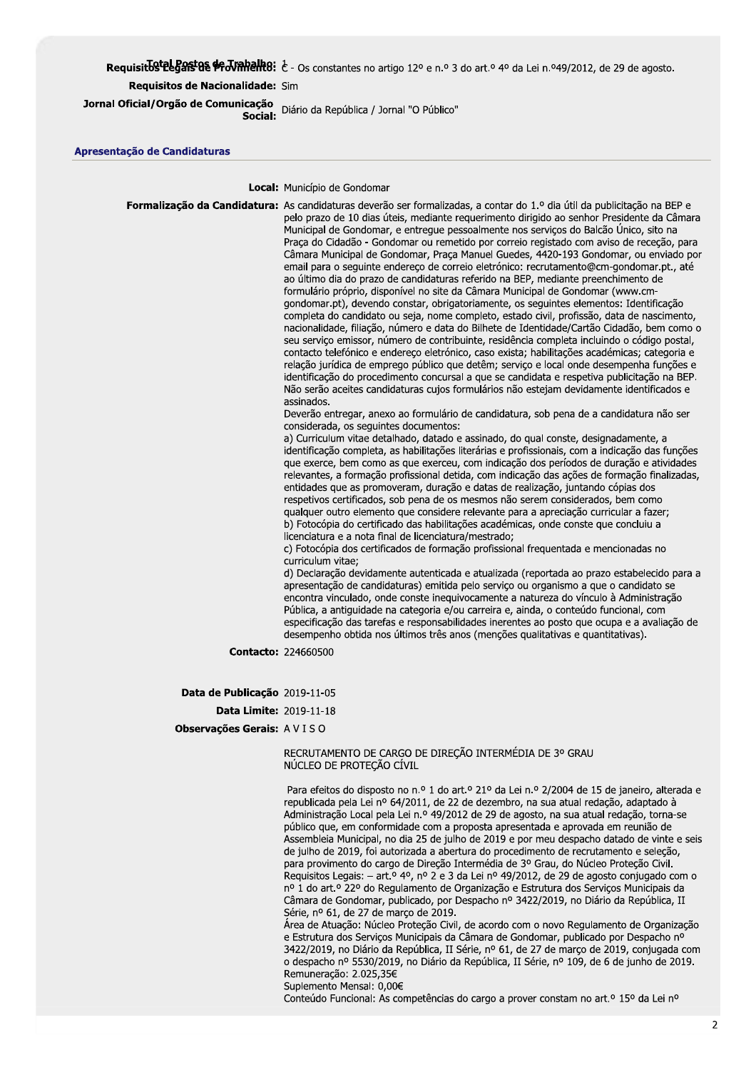# Requisit by telegast as  $\#$  J valid if  $\epsilon$  - Os constantes no artigo 12° e n.º 3 do art.º 4° da Lei n.º49/2012, de 29 de agosto.

## Requisitos de Nacionalidade: Sim

Jornal Oficial/Orgão de Comunicação Diário da República / Jornal "O Público" Social:

#### Apresentação de Candidaturas

Local: Município de Gondomar

Formalização da Candidatura: As candidaturas deverão ser formalizadas, a contar do 1.º dia útil da publicitação na BEP e pelo prazo de 10 dias úteis, mediante requerimento dirigido ao senhor Presidente da Câmara Municipal de Gondomar, e entregue pessoalmente nos serviços do Balcão Único, sito na Praça do Cidadão - Gondomar ou remetido por correio registado com aviso de receção, para Câmara Municipal de Gondomar, Praça Manuel Guedes, 4420-193 Gondomar, ou enviado por email para o seguinte endereço de correio eletrónico: recrutamento@cm-gondomar.pt., até ao último dia do prazo de candidaturas referido na BEP, mediante preenchimento de formulário próprio, disponível no site da Câmara Municipal de Gondomar (www.cmgondomar.pt), devendo constar, obrigatoriamente, os seguintes elementos: Identificação completa do candidato ou seja, nome completo, estado civil, profissão, data de nascimento, nacionalidade, filiação, número e data do Bilhete de Identidade/Cartão Cidadão, bem como o seu serviço emissor, número de contribuinte, residência completa incluindo o código postal, contacto telefónico e endereço eletrónico, caso exista; habilitações académicas; categoria e relação jurídica de emprego público que detêm; serviço e local onde desempenha funções e identificação do procedimento concursal a que se candidata e respetiva publicitação na BEP. Não serão aceites candidaturas cujos formulários não estejam devidamente identificados e assinados Deverão entregar, anexo ao formulário de candidatura, sob pena de a candidatura não ser considerada, os seguintes documentos: a) Curriculum vitae detalhado, datado e assinado, do qual conste, designadamente, a identificação completa, as habilitações literárias e profissionais, com a indicação das funções que exerce, bem como as que exerceu, com indicação dos períodos de duração e atividades relevantes, a formação profissional detida, com indicação das ações de formação finalizadas, entidades que as promoveram, duração e datas de realização, juntando cópias dos respetivos certificados, sob pena de os mesmos não serem considerados, bem como qualquer outro elemento que considere relevante para a apreciação curricular a fazer;

b) Fotocópia do certificado das habilitações académicas, onde conste que concluiu a licenciatura e a nota final de licenciatura/mestrado;

c) Fotocópia dos certificados de formação profissional frequentada e mencionadas no curriculum vitae:

d) Declaração devidamente autenticada e atualizada (reportada ao prazo estabelecido para a apresentação de candidaturas) emitida pelo servico ou organismo a que o candidato se encontra vinculado, onde conste inequivocamente a natureza do vínculo à Administração Pública, a antiguidade na categoria e/ou carreira e, ainda, o conteúdo funcional, com especificação das tarefas e responsabilidades inerentes ao posto que ocupa e a avaliação de desempenho obtida nos últimos três anos (menções qualitativas e quantitativas).

**Contacto: 224660500** 

Data de Publicação 2019-11-05

**Data Limite: 2019-11-18** 

Observações Gerais: A V I S O

## RECRUTAMENTO DE CARGO DE DIRECÃO INTERMÉDIA DE 3º GRAU NÚCLEO DE PROTEÇÃO CÍVIL

Para efeitos do disposto no n.º 1 do art.º 21º da Lei n.º 2/2004 de 15 de janeiro, alterada e republicada pela Lei nº 64/2011, de 22 de dezembro, na sua atual redação, adaptado à Administração Local pela Lei n.º 49/2012 de 29 de agosto, na sua atual redação, torna-se público que, em conformidade com a proposta apresentada e aprovada em reunião de Assembleia Municipal, no dia 25 de julho de 2019 e por meu despacho datado de vinte e seis de julho de 2019, foi autorizada a abertura do procedimento de recrutamento e seleção, para provimento do cargo de Direção Intermédia de 3º Grau, do Núcleo Proteção Civil. Requisitos Legais: - art.º 4º, nº 2 e 3 da Lei nº 49/2012, de 29 de agosto conjugado com o nº 1 do art.º 22º do Regulamento de Organização e Estrutura dos Serviços Municipais da Câmara de Gondomar, publicado, por Despacho nº 3422/2019, no Diário da República, II Série, nº 61, de 27 de março de 2019.

Área de Atuação: Núcleo Proteção Civil, de acordo com o novo Regulamento de Organização e Estrutura dos Serviços Municipais da Câmara de Gondomar, publicado por Despacho nº 3422/2019, no Diário da República, II Série, nº 61, de 27 de março de 2019, conjugada com o despacho nº 5530/2019, no Diário da República, II Série, nº 109, de 6 de junho de 2019. Remuneração: 2.025,35€

Suplemento Mensal: 0,00€

Conteúdo Funcional: As competências do cargo a prover constam no art.º 15º da Lei nº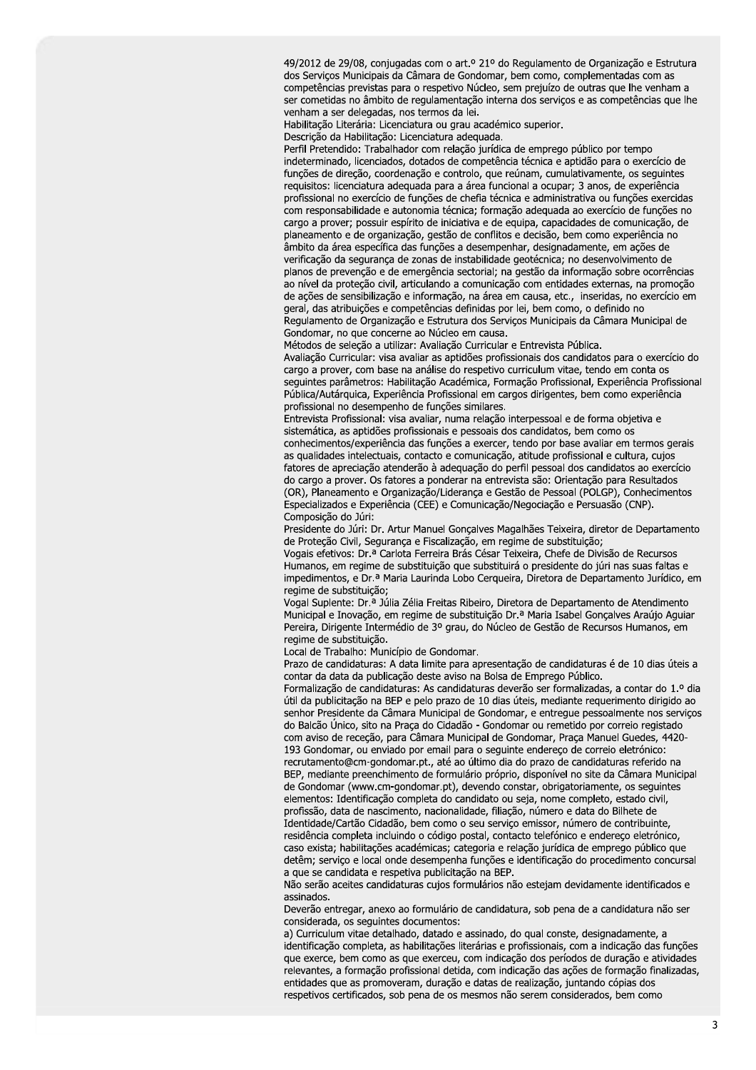49/2012 de 29/08, conjugadas com o art.º 21º do Regulamento de Organização e Estrutura dos Serviços Municipais da Câmara de Gondomar, bem como, complementadas com as competências previstas para o respetivo Núcleo, sem prejuízo de outras que lhe venham a ser cometidas no âmbito de regulamentação interna dos serviços e as competências que lhe venham a ser delegadas, nos termos da lei.

Habilitação Literária: Licenciatura ou grau académico superior.

Descrição da Habilitação: Licenciatura adequada.

Perfil Pretendido: Trabalhador com relação jurídica de emprego público por tempo indeterminado, licenciados, dotados de competência técnica e aptidão para o exercício de funções de direção, coordenação e controlo, que reúnam, cumulativamente, os seguintes requisitos: licenciatura adequada para a área funcional a ocupar; 3 anos, de experiência profissional no exercício de funções de chefia técnica e administrativa ou funções exercidas com responsabilidade e autonomia técnica; formação adequada ao exercício de funções no cargo a prover; possuir espírito de iniciativa e de equipa, capacidades de comunicação, de planeamento e de organização, gestão de conflitos e decisão, bem como experiência no âmbito da área específica das funções a desempenhar, designadamente, em ações de verificação da segurança de zonas de instabilidade geotécnica; no desenvolvimento de planos de prevenção e de emergência sectorial; na gestão da informação sobre ocorrências ao nível da proteção civil, articulando a comunicação com entidades externas, na promoção de ações de sensibilização e informação, na área em causa, etc., inseridas, no exercício em geral, das atribuições e competências definidas por lei, bem como, o definido no Regulamento de Organização e Estrutura dos Serviços Municipais da Câmara Municipal de Gondomar, no que concerne ao Núcleo em causa.

Métodos de seleção a utilizar: Avaliação Curricular e Entrevista Pública.

Avaliação Curricular: visa avaliar as aptidões profissionais dos candidatos para o exercício do cargo a prover, com base na análise do respetivo curriculum vitae, tendo em conta os seguintes parâmetros: Habilitação Académica, Formação Profissional, Experiência Profissional Pública/Autárquica, Experiência Profissional em cargos dirigentes, bem como experiência profissional no desempenho de funções similares.

Entrevista Profissional: visa avaliar, numa relação interpessoal e de forma objetiva e sistemática, as aptidões profissionais e pessoais dos candidatos, bem como os conhecimentos/experiência das funções a exercer, tendo por base avaliar em termos gerais as qualidades intelectuais, contacto e comunicação, atitude profissional e cultura, cujos fatores de apreciação atenderão à adequação do perfil pessoal dos candidatos ao exercício do cargo a prover. Os fatores a ponderar na entrevista são: Orientação para Resultados (OR), Planeamento e Organização/Liderança e Gestão de Pessoal (POLGP), Conhecimentos Especializados e Experiência (CEE) e Comunicação/Negociação e Persuasão (CNP). Composição do Júri:

Presidente do Júri: Dr. Artur Manuel Goncalves Magalhães Teixeira, diretor de Departamento de Proteção Civil, Segurança e Fiscalização, em regime de substituição;

Vogais efetivos: Dr.ª Carlota Ferreira Brás César Teixeira. Chefe de Divisão de Recursos Humanos, em regime de substituição que substituirá o presidente do júri nas suas faltas e impedimentos, e Dr.ª Maria Laurinda Lobo Cerqueira, Diretora de Departamento Jurídico, em regime de substituição;

Vogal Suplente: Dr.<sup>a</sup> Júlia Zélia Freitas Ribeiro, Diretora de Departamento de Atendimento Municipal e Inovação, em regime de substituição Dr.ª Maria Isabel Gonçalves Araújo Aquiar Pereira, Dirigente Intermédio de 3º grau, do Núcleo de Gestão de Recursos Humanos, em regime de substituição.

Local de Trabalho: Município de Gondomar.

Prazo de candidaturas: A data limite para apresentação de candidaturas é de 10 dias úteis a contar da data da publicação deste aviso na Bolsa de Emprego Público.

Formalização de candidaturas: As candidaturas deverão ser formalizadas, a contar do 1.º dia útil da publicitação na BEP e pelo prazo de 10 dias úteis, mediante requerimento dirigido ao senhor Presidente da Câmara Municipal de Gondomar, e entregue pessoalmente nos serviços do Balcão Único, sito na Praça do Cidadão - Gondomar ou remetido por correio registado com aviso de receção, para Câmara Municipal de Gondomar, Praça Manuel Guedes, 4420-193 Gondomar, ou enviado por email para o seguinte endereço de correio eletrónico: recrutamento@cm-gondomar.pt., até ao último dia do prazo de candidaturas referido na BEP, mediante preenchimento de formulário próprio, disponível no site da Câmara Municipal de Gondomar (www.cm-gondomar.pt), devendo constar, obrigatoriamente, os seguintes elementos: Identificação completa do candidato ou seja, nome completo, estado civil, profissão, data de nascimento, nacionalidade, filiação, número e data do Bilhete de Identidade/Cartão Cidadão, bem como o seu serviço emissor, número de contribuinte, residência completa incluindo o código postal, contacto telefónico e endereço eletrónico, caso exista; habilitações académicas; categoria e relação jurídica de emprego público que detêm: servico e local onde desempenha funcões e identificação do procedimento concursal a que se candidata e respetiva publicitação na BEP.

Não serão aceites candidaturas cujos formulários não estejam devidamente identificados e assinados.

Deverão entregar, anexo ao formulário de candidatura, sob pena de a candidatura não ser considerada, os seguintes documentos:

a) Curriculum vitae detalhado, datado e assinado, do qual conste, designadamente, a identificação completa, as habilitações literárias e profissionais, com a indicação das funções que exerce, bem como as que exerceu, com indicação dos períodos de duração e atividades relevantes, a formação profissional detida, com indicação das ações de formação finalizadas, entidades que as promoveram, duração e datas de realização, juntando cópias dos respetivos certificados, sob pena de os mesmos não serem considerados, bem como